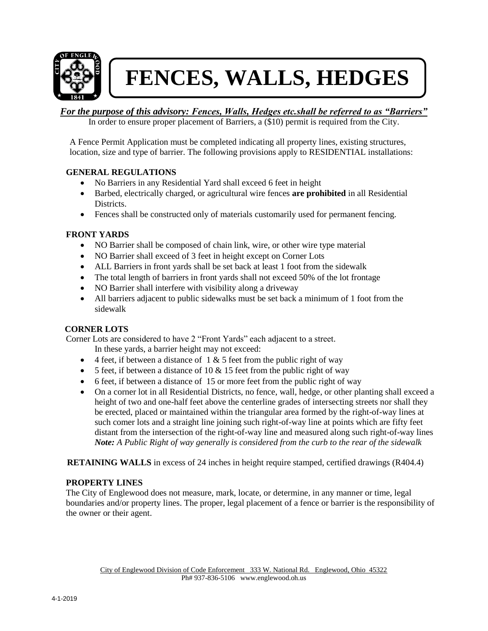

# **FENCES, WALLS, HEDGES**

# *For the purpose of this advisory: Fences, Walls, Hedges etc.shall be referred to as "Barriers"*

In order to ensure proper placement of Barriers, a (\$10) permit is required from the City.

A Fence Permit Application must be completed indicating all property lines, existing structures, location, size and type of barrier. The following provisions apply to RESIDENTIAL installations:

## **GENERAL REGULATIONS**

- No Barriers in any Residential Yard shall exceed 6 feet in height
- Barbed, electrically charged, or agricultural wire fences **are prohibited** in all Residential Districts.
- Fences shall be constructed only of materials customarily used for permanent fencing.

## **FRONT YARDS**

- NO Barrier shall be composed of chain link, wire, or other wire type material
- NO Barrier shall exceed of 3 feet in height except on Corner Lots
- ALL Barriers in front yards shall be set back at least 1 foot from the sidewalk
- The total length of barriers in front yards shall not exceed 50% of the lot frontage
- NO Barrier shall interfere with visibility along a driveway
- All barriers adjacent to public sidewalks must be set back a minimum of 1 foot from the sidewalk

#### **CORNER LOTS**

Corner Lots are considered to have 2 "Front Yards" each adjacent to a street.

In these yards, a barrier height may not exceed:

- $\bullet$  4 feet, if between a distance of 1 & 5 feet from the public right of way
- 5 feet, if between a distance of 10  $\&$  15 feet from the public right of way
- 6 feet, if between a distance of 15 or more feet from the public right of way
- On a corner lot in all Residential Districts, no fence, wall, hedge, or other planting shall exceed a height of two and one-half feet above the centerline grades of intersecting streets nor shall they be erected, placed or maintained within the triangular area formed by the right-of-way lines at such comer lots and a straight line joining such right-of-way line at points which are fifty feet distant from the intersection of the right-of-way line and measured along such right-of-way lines *Note: A Public Right of way generally is considered from the curb to the rear of the sidewalk*

**RETAINING WALLS** in excess of 24 inches in height require stamped, certified drawings (R404.4)

#### **PROPERTY LINES**

The City of Englewood does not measure, mark, locate, or determine, in any manner or time, legal boundaries and/or property lines. The proper, legal placement of a fence or barrier is the responsibility of the owner or their agent.